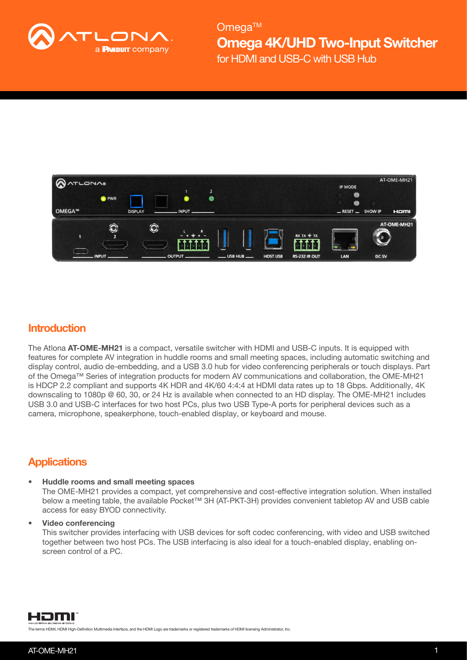



## **Introduction**

The Atlona AT-OME-MH21 is a compact, versatile switcher with HDMI and USB-C inputs. It is equipped with features for complete AV integration in huddle rooms and small meeting spaces, including automatic switching and display control, audio de-embedding, and a USB 3.0 hub for video conferencing peripherals or touch displays. Part of the Omega™ Series of integration products for modern AV communications and collaboration, the OME-MH21 is HDCP 2.2 compliant and supports 4K HDR and 4K/60 4:4:4 at HDMI data rates up to 18 Gbps. Additionally, 4K downscaling to 1080p @ 60, 30, or 24 Hz is available when connected to an HD display. The OME-MH21 includes USB 3.0 and USB-C interfaces for two host PCs, plus two USB Type-A ports for peripheral devices such as a camera, microphone, speakerphone, touch-enabled display, or keyboard and mouse.

## **Applications**

#### • Huddle rooms and small meeting spaces

The OME-MH21 provides a compact, yet comprehensive and cost-effective integration solution. When installed below a meeting table, the available Pocket™ 3H (AT-PKT-3H) provides convenient tabletop AV and USB cable access for easy BYOD connectivity.

#### • Video conferencing

This switcher provides interfacing with USB devices for soft codec conferencing, with video and USB switched together between two host PCs. The USB interfacing is also ideal for a touch-enabled display, enabling onscreen control of a PC.



The terms HDMI, HDMI High-Definition Multimedia Interface, and the HDMI Logo are trademarks or registered trademarks of HDMI licensing Administrator, Inc.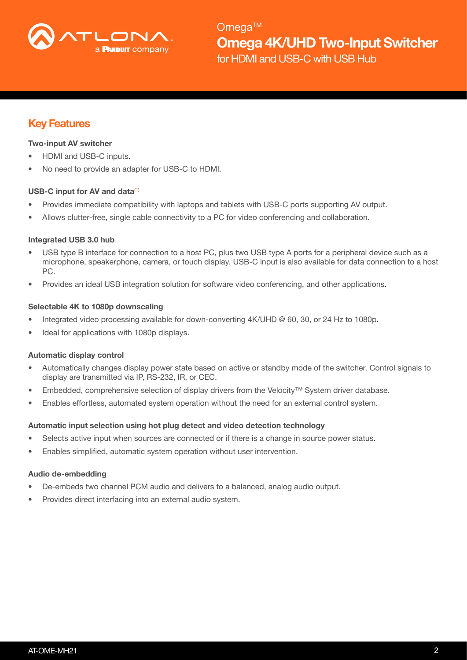

## Key Features

#### Two-input AV switcher

- HDMI and USB-C inputs.
- No need to provide an adapter for USB-C to HDMI.

#### USB-C input for AV and data $(1)$

- Provides immediate compatibility with laptops and tablets with USB-C ports supporting AV output.
- Allows clutter-free, single cable connectivity to a PC for video conferencing and collaboration.

#### Integrated USB 3.0 hub

- USB type B interface for connection to a host PC, plus two USB type A ports for a peripheral device such as a microphone, speakerphone, camera, or touch display. USB-C input is also available for data connection to a host PC.
- Provides an ideal USB integration solution for software video conferencing, and other applications.

#### Selectable 4K to 1080p downscaling

- Integrated video processing available for down-converting 4K/UHD @ 60, 30, or 24 Hz to 1080p.
- Ideal for applications with 1080p displays.

#### Automatic display control

- Automatically changes display power state based on active or standby mode of the switcher. Control signals to display are transmitted via IP, RS-232, IR, or CEC.
- Embedded, comprehensive selection of display drivers from the Velocity™ System driver database.
- Enables effortless, automated system operation without the need for an external control system.

#### Automatic input selection using hot plug detect and video detection technology

- Selects active input when sources are connected or if there is a change in source power status.
- Enables simplified, automatic system operation without user intervention.

#### Audio de-embedding

- De-embeds two channel PCM audio and delivers to a balanced, analog audio output.
- Provides direct interfacing into an external audio system.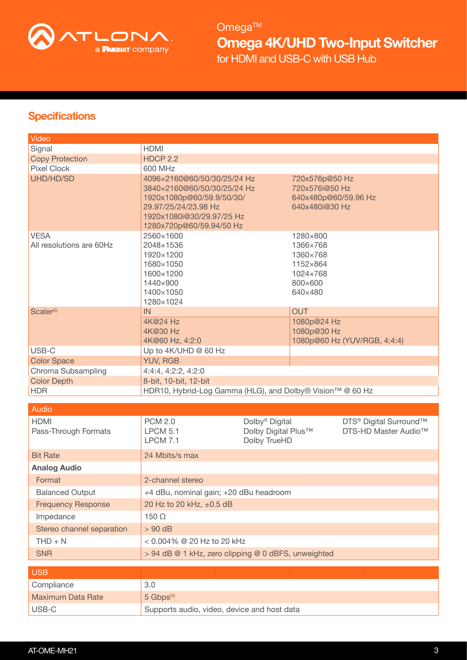

## **Specifications**

| Video                                   |                                                                                                                                                                          |                                                                   |                                                                                |                                                                        |
|-----------------------------------------|--------------------------------------------------------------------------------------------------------------------------------------------------------------------------|-------------------------------------------------------------------|--------------------------------------------------------------------------------|------------------------------------------------------------------------|
| Signal                                  | <b>HDMI</b>                                                                                                                                                              |                                                                   |                                                                                |                                                                        |
| <b>Copy Protection</b>                  | <b>HDCP 2.2</b>                                                                                                                                                          |                                                                   |                                                                                |                                                                        |
| <b>Pixel Clock</b>                      | 600 MHz                                                                                                                                                                  |                                                                   |                                                                                |                                                                        |
| UHD/HD/SD                               | 4096×2160@60/50/30/25/24 Hz<br>3840×2160@60/50/30/25/24 Hz<br>1920x1080p@60/59.9/50/30/<br>29.97/25/24/23.98 Hz<br>1920x1080i@30/29.97/25 Hz<br>1280x720p@60/59.94/50 Hz |                                                                   | 720x576p@50 Hz<br>720x576i@50 Hz<br>640x480p@60/59.96 Hz<br>640x480i@30 Hz     |                                                                        |
| <b>VESA</b><br>All resolutions are 60Hz | 2560×1600<br>2048×1536<br>1920×1200<br>1680×1050<br>1600×1200<br>1440×900<br>1400×1050<br>1280×1024                                                                      |                                                                   | 1280×800<br>1366×768<br>1360×768<br>1152×864<br>1024×768<br>800×600<br>640×480 |                                                                        |
| Scaler <sup>(2)</sup>                   | IN                                                                                                                                                                       |                                                                   | <b>OUT</b>                                                                     |                                                                        |
|                                         | 4K@24 Hz<br>4K@30 Hz<br>4K@60 Hz, 4:2:0                                                                                                                                  |                                                                   | 1080p@24 Hz<br>1080p@30 Hz                                                     | 1080p@60 Hz (YUV/RGB, 4:4:4)                                           |
| USB-C                                   | Up to 4K/UHD @ 60 Hz                                                                                                                                                     |                                                                   |                                                                                |                                                                        |
| <b>Color Space</b>                      | <b>YUV, RGB</b>                                                                                                                                                          |                                                                   |                                                                                |                                                                        |
| Chroma Subsampling                      | 4:4:4, 4:2:2, 4:2:0                                                                                                                                                      |                                                                   |                                                                                |                                                                        |
| <b>Color Depth</b>                      | 8-bit, 10-bit, 12-bit                                                                                                                                                    |                                                                   |                                                                                |                                                                        |
| <b>HDR</b>                              | HDR10, Hybrid-Log Gamma (HLG), and Dolby® Vision™ @ 60 Hz                                                                                                                |                                                                   |                                                                                |                                                                        |
| Audio                                   |                                                                                                                                                                          |                                                                   |                                                                                |                                                                        |
| <b>HDMI</b><br>Pass-Through Formats     | <b>PCM 2.0</b><br><b>LPCM 5.1</b><br><b>LPCM 7.1</b>                                                                                                                     | Dolby <sup>®</sup> Digital<br>Dolby Digital Plus™<br>Dolby TrueHD |                                                                                | DTS <sup>®</sup> Digital Surround™<br>DTS-HD Master Audio <sup>™</sup> |
| <b>Bit Rate</b>                         | 24 Mbits/s max                                                                                                                                                           |                                                                   |                                                                                |                                                                        |
| <b>Analog Audio</b>                     |                                                                                                                                                                          |                                                                   |                                                                                |                                                                        |
| Format                                  | 2-channel stereo                                                                                                                                                         |                                                                   |                                                                                |                                                                        |
| <b>Balanced Output</b>                  | +4 dBu, nominal gain; +20 dBu headroom                                                                                                                                   |                                                                   |                                                                                |                                                                        |
| <b>Frequency Response</b>               | 20 Hz to 20 kHz, ±0.5 dB                                                                                                                                                 |                                                                   |                                                                                |                                                                        |
| Impedance                               | 150 $\Omega$                                                                                                                                                             |                                                                   |                                                                                |                                                                        |
| Stereo channel separation               | $> 90$ dB                                                                                                                                                                |                                                                   |                                                                                |                                                                        |
| $THD + N$                               | $< 0.004\%$ @ 20 Hz to 20 kHz                                                                                                                                            |                                                                   |                                                                                |                                                                        |
| <b>SNR</b>                              | > 94 dB @ 1 kHz, zero clipping @ 0 dBFS, unweighted                                                                                                                      |                                                                   |                                                                                |                                                                        |
|                                         |                                                                                                                                                                          |                                                                   |                                                                                |                                                                        |
| <b>USB</b>                              |                                                                                                                                                                          |                                                                   |                                                                                |                                                                        |
| Compliance                              | 3.0                                                                                                                                                                      |                                                                   |                                                                                |                                                                        |
| <b>Maximum Data Rate</b>                | $5 \text{ Gbps}^{(3)}$                                                                                                                                                   |                                                                   |                                                                                |                                                                        |
| USB-C                                   | Supports audio, video, device and host data                                                                                                                              |                                                                   |                                                                                |                                                                        |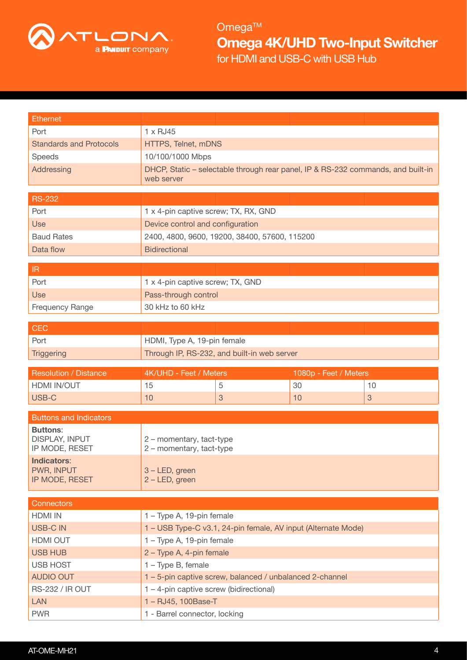

| <b>Ethernet</b>                          |                                                                                  |                                                               |                       |              |
|------------------------------------------|----------------------------------------------------------------------------------|---------------------------------------------------------------|-----------------------|--------------|
| Port                                     | 1 x RJ45                                                                         |                                                               |                       |              |
| <b>Standards and Protocols</b>           | HTTPS, Telnet, mDNS                                                              |                                                               |                       |              |
| Speeds                                   | 10/100/1000 Mbps                                                                 |                                                               |                       |              |
| Addressing                               | DHCP, Static - selectable through rear panel, IP & RS-232 commands, and built-in |                                                               |                       |              |
|                                          | web server                                                                       |                                                               |                       |              |
| <b>RS-232</b>                            |                                                                                  |                                                               |                       |              |
| Port                                     | 1 x 4-pin captive screw; TX, RX, GND                                             |                                                               |                       |              |
| <b>Use</b>                               | Device control and configuration                                                 |                                                               |                       |              |
| <b>Baud Rates</b>                        | 2400, 4800, 9600, 19200, 38400, 57600, 115200                                    |                                                               |                       |              |
| Data flow                                | <b>Bidirectional</b>                                                             |                                                               |                       |              |
|                                          |                                                                                  |                                                               |                       |              |
| $\ensuremath{\mathsf{IR}}\xspace$        |                                                                                  |                                                               |                       |              |
| Port                                     | 1 x 4-pin captive screw; TX, GND                                                 |                                                               |                       |              |
| Use                                      | Pass-through control                                                             |                                                               |                       |              |
| <b>Frequency Range</b>                   | 30 kHz to 60 kHz                                                                 |                                                               |                       |              |
|                                          |                                                                                  |                                                               |                       |              |
| <b>CEC</b>                               |                                                                                  |                                                               |                       |              |
| Port                                     | HDMI, Type A, 19-pin female                                                      |                                                               |                       |              |
| Triggering                               | Through IP, RS-232, and built-in web server                                      |                                                               |                       |              |
|                                          |                                                                                  |                                                               |                       |              |
| <b>Resolution / Distance</b>             | 4K/UHD - Feet / Meters                                                           |                                                               | 1080p - Feet / Meters |              |
| <b>HDMI IN/OUT</b>                       | 15                                                                               | 5                                                             | 30                    | 10           |
| USB-C                                    | 10                                                                               | 3                                                             | 10                    | $\mathbf{3}$ |
|                                          |                                                                                  |                                                               |                       |              |
| <b>Buttons and Indicators</b>            |                                                                                  |                                                               |                       |              |
| <b>Buttons:</b><br><b>DISPLAY, INPUT</b> | 2 - momentary, tact-type                                                         |                                                               |                       |              |
| IP MODE, RESET                           | 2 - momentary, tact-type                                                         |                                                               |                       |              |
| <b>Indicators:</b>                       |                                                                                  |                                                               |                       |              |
| PWR, INPUT                               | 3 - LED, green                                                                   |                                                               |                       |              |
| IP MODE, RESET                           | 2 - LED, green                                                                   |                                                               |                       |              |
| <b>Connectors</b>                        |                                                                                  |                                                               |                       |              |
| <b>HDMI IN</b>                           | 1 - Type A, 19-pin female                                                        |                                                               |                       |              |
| <b>USB-CIN</b>                           |                                                                                  | 1 – USB Type-C v3.1, 24-pin female, AV input (Alternate Mode) |                       |              |
| HDMI OUT                                 | 1 - Type A, 19-pin female                                                        |                                                               |                       |              |
| <b>USB HUB</b>                           | 2 - Type A, 4-pin female                                                         |                                                               |                       |              |
| <b>USB HOST</b>                          | 1 - Type B, female                                                               |                                                               |                       |              |
| <b>AUDIO OUT</b>                         |                                                                                  | 1 - 5-pin captive screw, balanced / unbalanced 2-channel      |                       |              |
| <b>RS-232 / IR OUT</b>                   | $1 - 4$ -pin captive screw (bidirectional)                                       |                                                               |                       |              |
| <b>LAN</b>                               | 1 - RJ45, 100Base-T                                                              |                                                               |                       |              |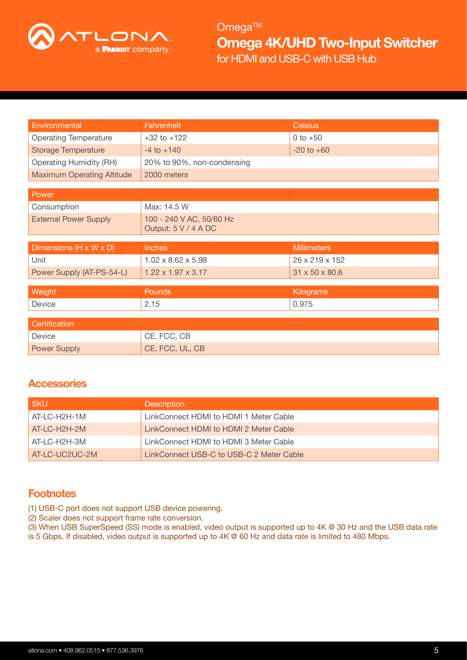

| Environmental                     | Fahrenheit                     | <b>Celsius</b>     |
|-----------------------------------|--------------------------------|--------------------|
| <b>Operating Temperature</b>      | $+32$ to $+122$                | $0 to +50$         |
| <b>Storage Temperature</b>        | $-4$ to $+140$                 | $-20$ to $+60$     |
| <b>Operating Humidity (RH)</b>    | 20% to 90%, non-condensing     |                    |
| <b>Maximum Operating Altitude</b> | 2000 meters                    |                    |
|                                   |                                |                    |
| Power                             |                                |                    |
| Consumption                       | Max: 14.5 W                    |                    |
| <b>External Power Supply</b>      | 100 - 240 V AC, 50/60 Hz       |                    |
|                                   | Output: 5 V / 4 A DC           |                    |
|                                   |                                |                    |
|                                   |                                |                    |
| Dimensions (H x W x D)            | Inches                         | <b>Millimeters</b> |
| Unit                              | $1.02 \times 8.62 \times 5.98$ | 26 x 219 x 152     |
| Power Supply (AT-PS-54-L)         | $1.22 \times 1.97 \times 3.17$ | 31 x 50 x 80.6     |
|                                   |                                |                    |
| Weight                            | Pounds                         | Kilograms          |
| Device                            | 2.15                           | 0.975              |
|                                   |                                |                    |
| Certification                     |                                |                    |
| Device                            | CE, FCC, CB                    |                    |

## **Accessories**

| <b>SKU</b>     | <b>Description</b>                       |
|----------------|------------------------------------------|
| AT-LC-H2H-1M   | LinkConnect HDMI to HDMI 1 Meter Cable   |
| AT-LC-H2H-2M   | LinkConnect HDMI to HDMI 2 Meter Cable   |
| AT-LC-H2H-3M   | LinkConnect HDMI to HDMI 3 Meter Cable   |
| AT-LC-UC2UC-2M | LinkConnect USB-C to USB-C 2 Meter Cable |

## **Footnotes**

(1) USB-C port does not support USB device powering.

(2) Scaler does not support frame rate conversion.

(3) When USB SuperSpeed (SS) mode is enabled, video output is supported up to 4K @ 30 Hz and the USB data rate is 5 Gbps. If disabled, video output is supported up to 4K @ 60 Hz and data rate is limited to 480 Mbps.